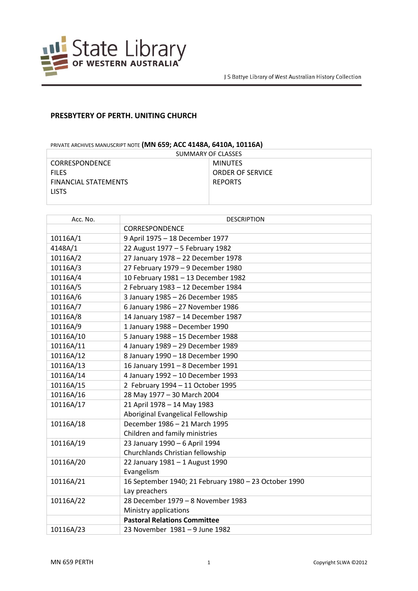

## **PRESBYTERY OF PERTH. UNITING CHURCH**

## PRIVATE ARCHIVES MANUSCRIPT NOTE **(MN 659; ACC 4148A, 6410A, 10116A)**

| SUMMARY OF CLASSES          |                         |  |
|-----------------------------|-------------------------|--|
| <b>CORRESPONDENCE</b>       | MINUTES                 |  |
| <b>FILES</b>                | <b>ORDER OF SERVICE</b> |  |
| <b>FINANCIAL STATEMENTS</b> | <b>REPORTS</b>          |  |
| <b>LISTS</b>                |                         |  |
|                             |                         |  |

| Acc. No.  | <b>DESCRIPTION</b>                                    |
|-----------|-------------------------------------------------------|
|           | CORRESPONDENCE                                        |
| 10116A/1  | 9 April 1975 - 18 December 1977                       |
| 4148A/1   | 22 August 1977 - 5 February 1982                      |
| 10116A/2  | 27 January 1978 - 22 December 1978                    |
| 10116A/3  | 27 February 1979 - 9 December 1980                    |
| 10116A/4  | 10 February 1981 - 13 December 1982                   |
| 10116A/5  | 2 February 1983 - 12 December 1984                    |
| 10116A/6  | 3 January 1985 - 26 December 1985                     |
| 10116A/7  | 6 January 1986 - 27 November 1986                     |
| 10116A/8  | 14 January 1987 - 14 December 1987                    |
| 10116A/9  | 1 January 1988 - December 1990                        |
| 10116A/10 | 5 January 1988 - 15 December 1988                     |
| 10116A/11 | 4 January 1989 - 29 December 1989                     |
| 10116A/12 | 8 January 1990 - 18 December 1990                     |
| 10116A/13 | 16 January 1991 - 8 December 1991                     |
| 10116A/14 | 4 January 1992 - 10 December 1993                     |
| 10116A/15 | 2 February 1994 - 11 October 1995                     |
| 10116A/16 | 28 May 1977 - 30 March 2004                           |
| 10116A/17 | 21 April 1978 - 14 May 1983                           |
|           | Aboriginal Evangelical Fellowship                     |
| 10116A/18 | December 1986 - 21 March 1995                         |
|           | Children and family ministries                        |
| 10116A/19 | 23 January 1990 - 6 April 1994                        |
|           | Churchlands Christian fellowship                      |
| 10116A/20 | 22 January 1981 - 1 August 1990                       |
|           | Evangelism                                            |
| 10116A/21 | 16 September 1940; 21 February 1980 - 23 October 1990 |
|           | Lay preachers                                         |
| 10116A/22 | 28 December 1979 - 8 November 1983                    |
|           | Ministry applications                                 |
|           | <b>Pastoral Relations Committee</b>                   |
| 10116A/23 | 23 November 1981 - 9 June 1982                        |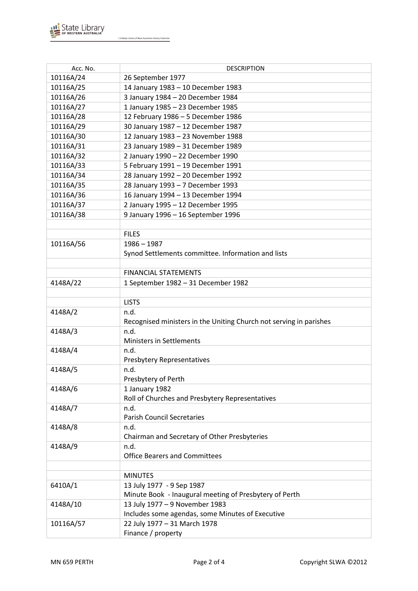

J S Battye Library of West Australian History Collection

| Acc. No.  | <b>DESCRIPTION</b>                                                 |
|-----------|--------------------------------------------------------------------|
| 10116A/24 | 26 September 1977                                                  |
| 10116A/25 | 14 January 1983 - 10 December 1983                                 |
| 10116A/26 | 3 January 1984 - 20 December 1984                                  |
| 10116A/27 | 1 January 1985 - 23 December 1985                                  |
| 10116A/28 | 12 February 1986 - 5 December 1986                                 |
| 10116A/29 | 30 January 1987 - 12 December 1987                                 |
| 10116A/30 | 12 January 1983 - 23 November 1988                                 |
| 10116A/31 |                                                                    |
| 10116A/32 | 23 January 1989 - 31 December 1989                                 |
|           | 2 January 1990 - 22 December 1990                                  |
| 10116A/33 | 5 February 1991 - 19 December 1991                                 |
| 10116A/34 | 28 January 1992 - 20 December 1992                                 |
| 10116A/35 | 28 January 1993 - 7 December 1993                                  |
| 10116A/36 | 16 January 1994 - 13 December 1994                                 |
| 10116A/37 | 2 January 1995 - 12 December 1995                                  |
| 10116A/38 | 9 January 1996 - 16 September 1996                                 |
|           |                                                                    |
|           | <b>FILES</b>                                                       |
| 10116A/56 | $1986 - 1987$                                                      |
|           | Synod Settlements committee. Information and lists                 |
|           |                                                                    |
|           | <b>FINANCIAL STATEMENTS</b>                                        |
| 4148A/22  | 1 September 1982 - 31 December 1982                                |
|           |                                                                    |
|           | <b>LISTS</b>                                                       |
| 4148A/2   | n.d.                                                               |
|           | Recognised ministers in the Uniting Church not serving in parishes |
| 4148A/3   | n.d.                                                               |
|           | <b>Ministers in Settlements</b>                                    |
| 4148A/4   | n.d.                                                               |
|           | <b>Presbytery Representatives</b>                                  |
| 4148A/5   | n.d.                                                               |
|           | Presbytery of Perth                                                |
| 4148A/6   | 1 January 1982                                                     |
|           | Roll of Churches and Presbytery Representatives                    |
| 4148A/7   | n.d.                                                               |
|           | <b>Parish Council Secretaries</b>                                  |
| 4148A/8   | n.d.                                                               |
|           | Chairman and Secretary of Other Presbyteries                       |
| 4148A/9   | n.d.                                                               |
|           | <b>Office Bearers and Committees</b>                               |
|           |                                                                    |
|           | <b>MINUTES</b>                                                     |
| 6410A/1   | 13 July 1977 - 9 Sep 1987                                          |
|           | Minute Book - Inaugural meeting of Presbytery of Perth             |
| 4148A/10  | 13 July 1977 - 9 November 1983                                     |
|           | Includes some agendas, some Minutes of Executive                   |
| 10116A/57 | 22 July 1977 - 31 March 1978                                       |
|           | Finance / property                                                 |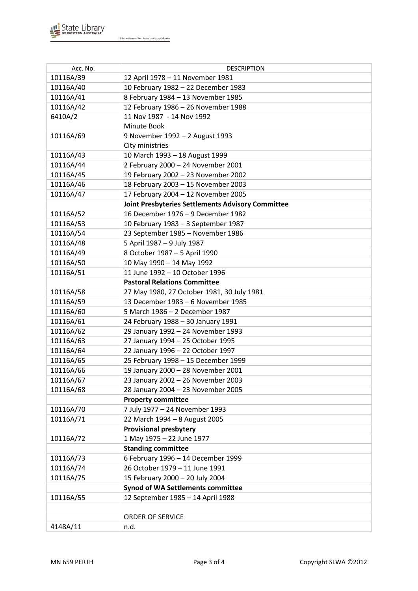

J S Battye Library of West Australian History Collection

| Acc. No.  | <b>DESCRIPTION</b>                                       |
|-----------|----------------------------------------------------------|
| 10116A/39 | 12 April 1978 - 11 November 1981                         |
| 10116A/40 | 10 February 1982 - 22 December 1983                      |
| 10116A/41 | 8 February 1984 - 13 November 1985                       |
| 10116A/42 | 12 February 1986 - 26 November 1988                      |
| 6410A/2   | 11 Nov 1987 - 14 Nov 1992                                |
|           | Minute Book                                              |
| 10116A/69 | 9 November 1992 - 2 August 1993                          |
|           | City ministries                                          |
| 10116A/43 | 10 March 1993 - 18 August 1999                           |
| 10116A/44 | 2 February 2000 - 24 November 2001                       |
| 10116A/45 | 19 February 2002 - 23 November 2002                      |
| 10116A/46 | 18 February 2003 - 15 November 2003                      |
| 10116A/47 | 17 February 2004 - 12 November 2005                      |
|           | <b>Joint Presbyteries Settlements Advisory Committee</b> |
| 10116A/52 | 16 December 1976 - 9 December 1982                       |
| 10116A/53 | 10 February 1983 - 3 September 1987                      |
| 10116A/54 | 23 September 1985 - November 1986                        |
| 10116A/48 | 5 April 1987 - 9 July 1987                               |
| 10116A/49 | 8 October 1987 - 5 April 1990                            |
| 10116A/50 | 10 May 1990 - 14 May 1992                                |
| 10116A/51 | 11 June 1992 - 10 October 1996                           |
|           | <b>Pastoral Relations Committee</b>                      |
| 10116A/58 | 27 May 1980, 27 October 1981, 30 July 1981               |
| 10116A/59 | 13 December 1983 - 6 November 1985                       |
| 10116A/60 | 5 March 1986 - 2 December 1987                           |
| 10116A/61 | 24 February 1988 - 30 January 1991                       |
| 10116A/62 | 29 January 1992 - 24 November 1993                       |
| 10116A/63 | 27 January 1994 - 25 October 1995                        |
| 10116A/64 | 22 January 1996 - 22 October 1997                        |
| 10116A/65 | 25 February 1998 - 15 December 1999                      |
| 10116A/66 | 19 January 2000 - 28 November 2001                       |
| 10116A/67 | 23 January 2002 - 26 November 2003                       |
| 10116A/68 | 28 January 2004 - 23 November 2005                       |
|           | <b>Property committee</b>                                |
| 10116A/70 | 7 July 1977 - 24 November 1993                           |
| 10116A/71 | 22 March 1994 - 8 August 2005                            |
|           | <b>Provisional presbytery</b>                            |
| 10116A/72 | 1 May 1975 - 22 June 1977                                |
|           | <b>Standing committee</b>                                |
| 10116A/73 | 6 February 1996 - 14 December 1999                       |
| 10116A/74 | 26 October 1979 - 11 June 1991                           |
| 10116A/75 | 15 February 2000 - 20 July 2004                          |
|           | <b>Synod of WA Settlements committee</b>                 |
| 10116A/55 | 12 September 1985 - 14 April 1988                        |
|           |                                                          |
|           | ORDER OF SERVICE                                         |
| 4148A/11  | n.d.                                                     |